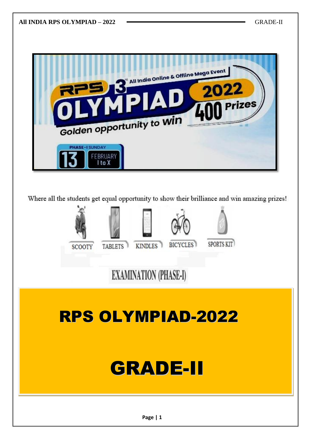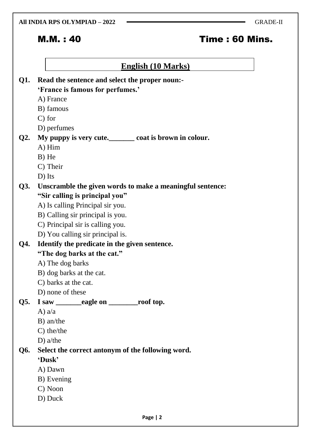#### **All INDIA RPS OLYMPIAD – 2022** GRADE-II

# M.M. : 40 Time : 60 Mins.

# **English (10 Marks)**

|     | Q1. Read the sentence and select the proper noun:-        |
|-----|-----------------------------------------------------------|
|     | 'France is famous for perfumes.'                          |
|     | A) France                                                 |
|     | B) famous                                                 |
|     | $C$ ) for                                                 |
|     | D) perfumes                                               |
|     | Q2. My puppy is very cute. coat is brown in colour.       |
|     | A) Him                                                    |
|     | $B)$ He                                                   |
|     | C) Their                                                  |
|     | D) Its                                                    |
| Q3. | Unscramble the given words to make a meaningful sentence: |
|     | "Sir calling is principal you"                            |
|     | A) Is calling Principal sir you.                          |
|     | B) Calling sir principal is you.                          |
|     | C) Principal sir is calling you.                          |
|     | D) You calling sir principal is.                          |
| Q4. | Identify the predicate in the given sentence.             |
|     | "The dog barks at the cat."                               |
|     | A) The dog barks                                          |
|     | B) dog barks at the cat.                                  |
|     | C) barks at the cat.                                      |
|     | D) none of these                                          |
| Q5. | I saw _________eagle on ___________roof top.              |
|     | A) $a/a$                                                  |
|     | B) an/the                                                 |
|     | $C)$ the/the                                              |
|     | $D)$ a/the                                                |
| Q6. | Select the correct antonym of the following word.         |
|     | 'Dusk'                                                    |
|     | A) Dawn                                                   |
|     | B) Evening                                                |
|     | C) Noon                                                   |
|     | D) Duck                                                   |
|     |                                                           |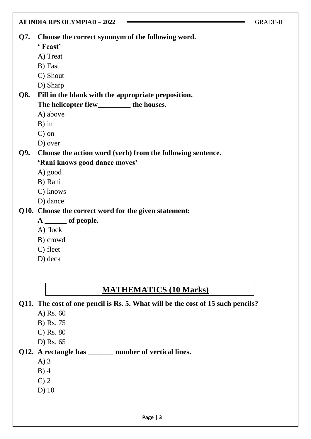|            | All INDIA RPS OLYMPIAD - 2022                              | <b>GRADE-II</b> |
|------------|------------------------------------------------------------|-----------------|
| Q7.        | Choose the correct synonym of the following word.          |                 |
|            | 'Feast'                                                    |                 |
|            | A) Treat                                                   |                 |
|            | B) Fast                                                    |                 |
|            | C) Shout                                                   |                 |
|            | D) Sharp                                                   |                 |
| <b>Q8.</b> | Fill in the blank with the appropriate preposition.        |                 |
|            | The helicopter flew___________ the houses.                 |                 |
|            | A) above                                                   |                 |
|            | $B)$ in                                                    |                 |
|            | $C$ ) on                                                   |                 |
|            | D) over                                                    |                 |
| Q9.        | Choose the action word (verb) from the following sentence. |                 |
|            | 'Rani knows good dance moves'                              |                 |
|            | A) good                                                    |                 |
|            | B) Rani                                                    |                 |
|            | C) knows                                                   |                 |
|            | D) dance                                                   |                 |
|            | Q10. Choose the correct word for the given statement:      |                 |
|            | $A \underline{\hspace{1cm}}$ of people.                    |                 |
|            | A) flock                                                   |                 |
|            | B) crowd                                                   |                 |
|            | C) fleet                                                   |                 |
|            | D) deck                                                    |                 |
|            |                                                            |                 |

# **MATHEMATICS (10 Marks)**

**Q11. The cost of one pencil is Rs. 5. What will be the cost of 15 such pencils?**

- A) Rs. 60
- B) Rs. 75
- C) Rs. 80
- D) Rs. 65

# **Q12. A rectangle has \_\_\_\_\_\_\_ number of vertical lines.**

- A) 3
- B) 4
- C) 2
- D) 10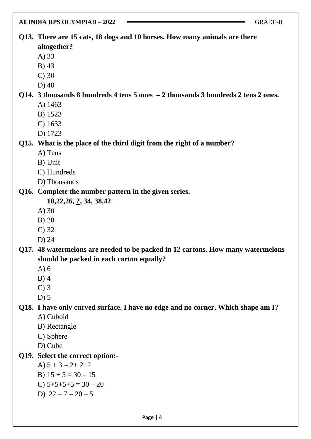# **Q13. There are 15 cats, 18 dogs and 10 horses. How many animals are there altogether?**

- A) 33
- B) 43
- C) 30
- D) 40

#### **Q14. 3 thousands 8 hundreds 4 tens 5 ones – 2 thousands 3 hundreds 2 tens 2 ones.** A) 1463

- B) 1523
- C) 1633
- D) 1723

## **Q15. What is the place of the third digit from the right of a number?**

- A) Tens
- B) Unit
- C) Hundreds
- D) Thousands

## **Q16. Complete the number pattern in the given series.**

- **18,22,26, ?, 34, 38,42**
- A) 30
- B) 28
- C) 32
- D) 24

## **Q17. 48 watermelons are needed to be packed in 12 cartons. How many watermelons should be packed in each carton equally?**

- A) 6
- B) 4
- C) 3
- $D$ ) 5

# **Q18. I have only curved surface. I have no edge and no corner. Which shape am I?**

- A) Cuboid
- B) Rectangle
- C) Sphere
- D) Cube

# **Q19. Select the correct option:-**

- A)  $5 + 3 = 2 + 2 + 2$
- B)  $15 + 5 = 30 15$
- C)  $5+5+5+5 = 30 20$
- D)  $22 7 = 20 5$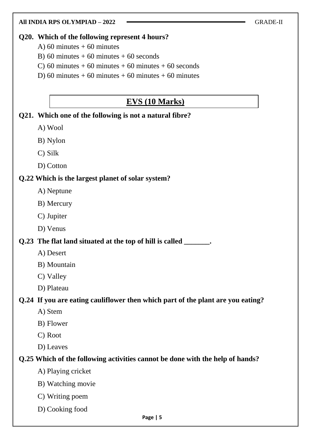#### **Q20. Which of the following represent 4 hours?**

- A) 60 minutes  $+60$  minutes
- B) 60 minutes  $+60$  minutes  $+60$  seconds
- C) 60 minutes + 60 minutes + 60 minutes + 60 seconds
- D) 60 minutes + 60 minutes + 60 minutes + 60 minutes

# **EVS (10 Marks)**

#### **Q21. Which one of the following is not a natural fibre?**

- A) Wool
- B) Nylon
- C) Silk
- D) Cotton

#### **Q.22 Which is the largest planet of solar system?**

- A) Neptune
- B) Mercury
- C) Jupiter
- D) Venus

## **Q.23 The flat land situated at the top of hill is called \_\_\_\_\_\_\_.**

- A) Desert
- B) Mountain
- C) Valley
- D) Plateau

#### **Q.24 If you are eating cauliflower then which part of the plant are you eating?**

- A) Stem
- B) Flower
- C) Root
- D) Leaves

## **Q.25 Which of the following activities cannot be done with the help of hands?**

- A) Playing cricket
- B) Watching movie
- C) Writing poem
- D) Cooking food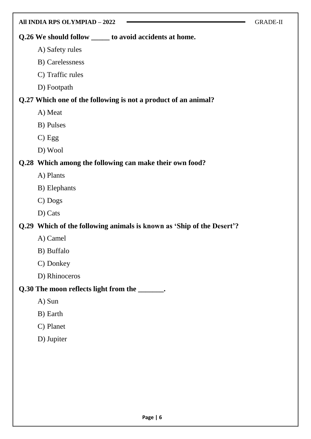| All INDIA RPS OLYMPIAD - 2022                                         | <b>GRADE-II</b> |
|-----------------------------------------------------------------------|-----------------|
| Q.26 We should follow ______ to avoid accidents at home.              |                 |
| A) Safety rules                                                       |                 |
| B) Carelessness                                                       |                 |
| C) Traffic rules                                                      |                 |
| D) Footpath                                                           |                 |
| Q.27 Which one of the following is not a product of an animal?        |                 |
| A) Meat                                                               |                 |
| B) Pulses                                                             |                 |
| $C)$ Egg                                                              |                 |
| D) Wool                                                               |                 |
| Q.28 Which among the following can make their own food?               |                 |
| A) Plants                                                             |                 |
| B) Elephants                                                          |                 |
| C) Dogs                                                               |                 |
| D) Cats                                                               |                 |
| Q.29 Which of the following animals is known as 'Ship of the Desert'? |                 |
| A) Camel                                                              |                 |
| B) Buffalo                                                            |                 |
| C) Donkey                                                             |                 |
| D) Rhinoceros                                                         |                 |
| Q.30 The moon reflects light from the _______.                        |                 |
| A) Sun                                                                |                 |
| B) Earth                                                              |                 |
| C) Planet                                                             |                 |
| D) Jupiter                                                            |                 |
|                                                                       |                 |
|                                                                       |                 |
|                                                                       |                 |
|                                                                       |                 |
|                                                                       |                 |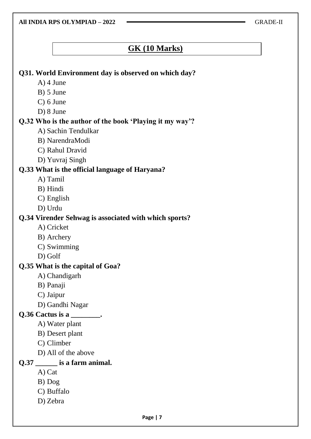**All INDIA RPS OLYMPIAD – 2022** GRADE-II

# **GK (10 Marks)**

#### **Q31. World Environment day is observed on which day?**

- A) 4 June
- B) 5 June
- C) 6 June
- D) 8 June

#### **Q.32 Who is the author of the book "Playing it my way"?**

- A) Sachin Tendulkar
- B) NarendraModi
- C) Rahul Dravid
- D) Yuvraj Singh

#### **Q.33 What is the official language of Haryana?**

- A) Tamil
- B) Hindi
- C) English
- D) Urdu

#### **Q.34 Virender Sehwag is associated with which sports?**

- A) Cricket
- B) Archery
- C) Swimming
- D) Golf

#### **Q.35 What is the capital of Goa?**

- A) Chandigarh
- B) Panaji
- C) Jaipur
- D) Gandhi Nagar

#### **Q.36 Cactus is a \_\_\_\_\_\_\_\_.**

- A) Water plant
- B) Desert plant
- C) Climber
- D) All of the above

## **Q.37 \_\_\_\_\_\_ is a farm animal.**

- A) Cat
- B) Dog
- C) Buffalo
- D) Zebra